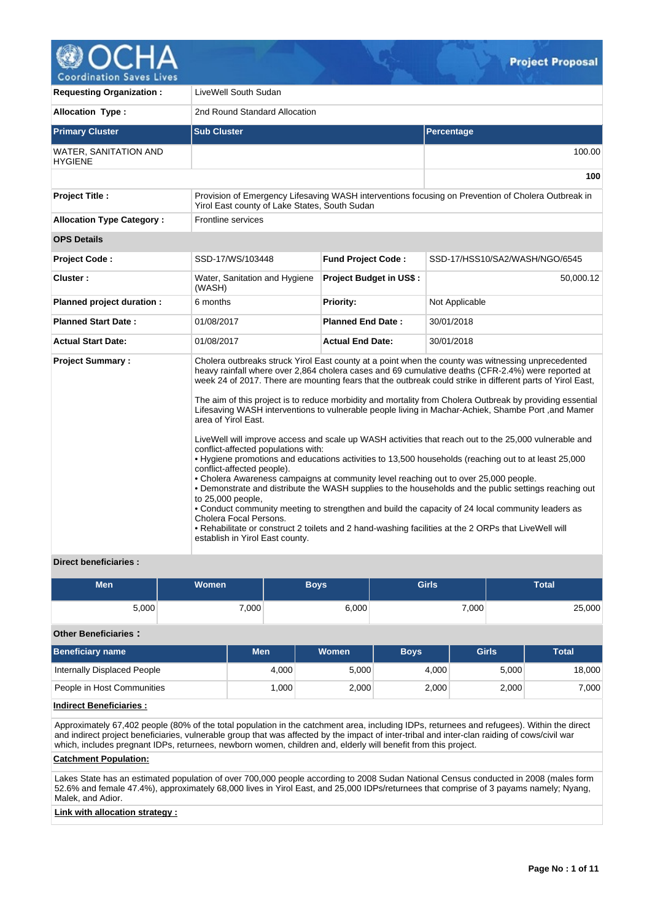

100.00

**100**

**Requesting Organization :** LiveWell South Sudan **Allocation Type :** 2nd Round Standard Allocation **Primary Cluster Sub Cluster Sub Cluster** Sub Cluster Sub Cluster Sub Cluster Sub Cluster Sub Cluster Sub Cluster WATER, SANITATION AND **HYGIENE Project Title :** Provision of Emergency Lifesaving WASH interventions focusing on Prevention of Cholera Outbreak in Yirol East county of Lake States, South Sudan **Allocation Type Category :** Frontline services **OPS Details**  Project Code : SSD-17/WS/103448 **Fund Project Code :** SSD-17/HSS10/SA2/WASH/NGO/6545 **Cluster :** Water, Sanitation and Hygiene (WASH) **Project Budget in US\$ :** 50,000.12 **Planned project duration :** 6 months **Priority:** Not Applicable **Planned Start Date :** 01/08/2017 **Planned End Date :** 30/01/2018 **Actual Start Date:** 01/08/2017 **Actual End Date:** 30/01/2018

| <b>Project Summary:</b> | Cholera outbreaks struck Yirol East county at a point when the county was witnessing unprecedented<br>heavy rainfall where over 2,864 cholera cases and 69 cumulative deaths (CFR-2.4%) were reported at<br>week 24 of 2017. There are mounting fears that the outbreak could strike in different parts of Yirol East, |
|-------------------------|------------------------------------------------------------------------------------------------------------------------------------------------------------------------------------------------------------------------------------------------------------------------------------------------------------------------|
|                         | The aim of this project is to reduce morbidity and mortality from Cholera Outbreak by providing essential<br>Lifesaving WASH interventions to vulnerable people living in Machar-Achiek, Shambe Port, and Mamer<br>area of Yirol East.                                                                                 |
|                         | LiveWell will improve access and scale up WASH activities that reach out to the 25,000 vulnerable and<br>conflict-affected populations with:                                                                                                                                                                           |
|                         | . Hygiene promotions and educations activities to 13,500 households (reaching out to at least 25,000<br>conflict-affected people).                                                                                                                                                                                     |
|                         | . Cholera Awareness campaigns at community level reaching out to over 25,000 people.<br>• Demonstrate and distribute the WASH supplies to the households and the public settings reaching out<br>to 25,000 people,                                                                                                     |
|                         | • Conduct community meeting to strengthen and build the capacity of 24 local community leaders as<br>Cholera Focal Persons.                                                                                                                                                                                            |
|                         | • Rehabilitate or construct 2 toilets and 2 hand-washing facilities at the 2 ORPs that LiveWell will<br>establish in Yirol East county.                                                                                                                                                                                |

# **Direct beneficiaries :**

| <b>Men</b> | <b>Women</b> | <b>Boys</b> | <b>Girls</b> | Total  |
|------------|--------------|-------------|--------------|--------|
| 5,000      | 7,000        | 6,000       | 7,000        | 25,000 |

# **Other Beneficiaries :**

| <b>Beneficiary name</b>     | Men   | <b>Women</b> | <b>Boys</b> | Girls | <b>Total</b> |
|-----------------------------|-------|--------------|-------------|-------|--------------|
| Internally Displaced People | 4.000 | 5,000        | 4.000       | 5.000 | 18,000       |
| People in Host Communities  | 000.  | 2,000        | 2,000       | 2,000 | 7.000        |

# **Indirect Beneficiaries :**

Approximately 67,402 people (80% of the total population in the catchment area, including IDPs, returnees and refugees). Within the direct and indirect project beneficiaries, vulnerable group that was affected by the impact of inter-tribal and inter-clan raiding of cows/civil war which, includes pregnant IDPs, returnees, newborn women, children and, elderly will benefit from this project.

#### **Catchment Population:**

Lakes State has an estimated population of over 700,000 people according to 2008 Sudan National Census conducted in 2008 (males form 52.6% and female 47.4%), approximately 68,000 lives in Yirol East, and 25,000 IDPs/returnees that comprise of 3 payams namely; Nyang, Malek, and Adior.

# **Link with allocation strategy :**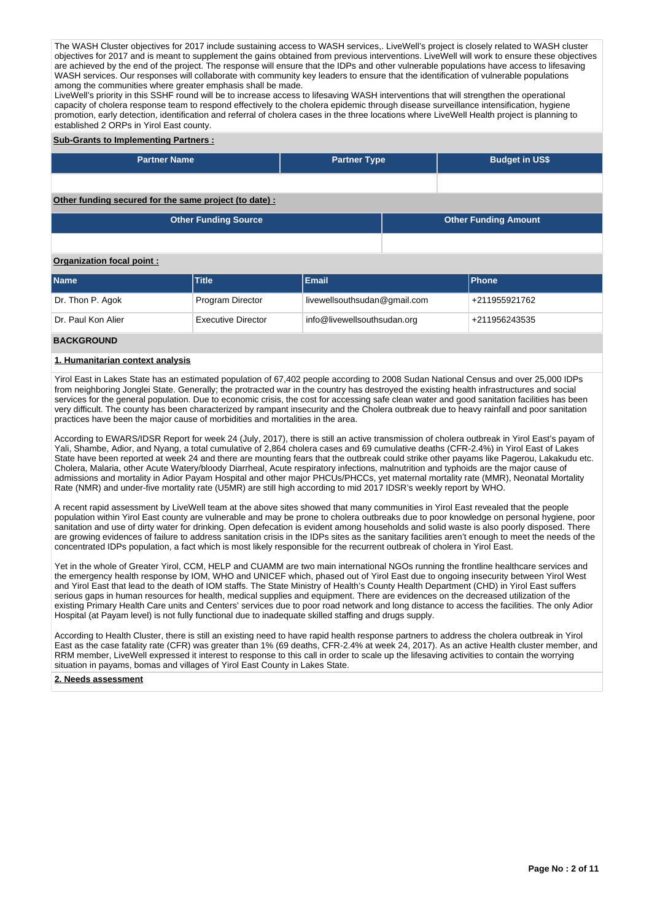The WASH Cluster objectives for 2017 include sustaining access to WASH services,. LiveWell's project is closely related to WASH cluster objectives for 2017 and is meant to supplement the gains obtained from previous interventions. LiveWell will work to ensure these objectives are achieved by the end of the project. The response will ensure that the IDPs and other vulnerable populations have access to lifesaving WASH services. Our responses will collaborate with community key leaders to ensure that the identification of vulnerable populations among the communities where greater emphasis shall be made.

LiveWell's priority in this SSHF round will be to increase access to lifesaving WASH interventions that will strengthen the operational capacity of cholera response team to respond effectively to the cholera epidemic through disease surveillance intensification, hygiene promotion, early detection, identification and referral of cholera cases in the three locations where LiveWell Health project is planning to established 2 ORPs in Yirol East county.

#### **Sub-Grants to Implementing Partners :**

| <b>Partner Name</b>                                   | <b>Partner Type</b> | <b>Budget in US\$</b>       |
|-------------------------------------------------------|---------------------|-----------------------------|
|                                                       |                     |                             |
| Other funding secured for the same project (to date): |                     |                             |
| <b>Other Funding Source</b>                           |                     | <b>Other Funding Amount</b> |

### **Organization focal point :**

| <b>Name</b>        | <b>Title</b>              | Email                        | <b>Phone</b>  |
|--------------------|---------------------------|------------------------------|---------------|
| Dr. Thon P. Agok   | Program Director          | livewellsouthsudan@gmail.com | +211955921762 |
| Dr. Paul Kon Alier | <b>Executive Director</b> | info@livewellsouthsudan.org  | +211956243535 |
| <b>BACKGROUND</b>  |                           |                              |               |

# **1. Humanitarian context analysis**

Yirol East in Lakes State has an estimated population of 67,402 people according to 2008 Sudan National Census and over 25,000 IDPs from neighboring Jonglei State. Generally; the protracted war in the country has destroyed the existing health infrastructures and social services for the general population. Due to economic crisis, the cost for accessing safe clean water and good sanitation facilities has been very difficult. The county has been characterized by rampant insecurity and the Cholera outbreak due to heavy rainfall and poor sanitation practices have been the major cause of morbidities and mortalities in the area.

According to EWARS/IDSR Report for week 24 (July, 2017), there is still an active transmission of cholera outbreak in Yirol East's payam of Yali, Shambe, Adior, and Nyang, a total cumulative of 2,864 cholera cases and 69 cumulative deaths (CFR-2.4%) in Yirol East of Lakes State have been reported at week 24 and there are mounting fears that the outbreak could strike other payams like Pagerou, Lakakudu etc. Cholera, Malaria, other Acute Watery/bloody Diarrheal, Acute respiratory infections, malnutrition and typhoids are the major cause of admissions and mortality in Adior Payam Hospital and other major PHCUs/PHCCs, yet maternal mortality rate (MMR), Neonatal Mortality Rate (NMR) and under-five mortality rate (U5MR) are still high according to mid 2017 IDSR's weekly report by WHO.

A recent rapid assessment by LiveWell team at the above sites showed that many communities in Yirol East revealed that the people population within Yirol East county are vulnerable and may be prone to cholera outbreaks due to poor knowledge on personal hygiene, poor sanitation and use of dirty water for drinking. Open defecation is evident among households and solid waste is also poorly disposed. There are growing evidences of failure to address sanitation crisis in the IDPs sites as the sanitary facilities aren't enough to meet the needs of the concentrated IDPs population, a fact which is most likely responsible for the recurrent outbreak of cholera in Yirol East.

Yet in the whole of Greater Yirol, CCM, HELP and CUAMM are two main international NGOs running the frontline healthcare services and the emergency health response by IOM, WHO and UNICEF which, phased out of Yirol East due to ongoing insecurity between Yirol West and Yirol East that lead to the death of IOM staffs. The State Ministry of Health's County Health Department (CHD) in Yirol East suffers serious gaps in human resources for health, medical supplies and equipment. There are evidences on the decreased utilization of the existing Primary Health Care units and Centers' services due to poor road network and long distance to access the facilities. The only Adior Hospital (at Payam level) is not fully functional due to inadequate skilled staffing and drugs supply.

According to Health Cluster, there is still an existing need to have rapid health response partners to address the cholera outbreak in Yirol East as the case fatality rate (CFR) was greater than 1% (69 deaths, CFR-2.4% at week 24, 2017). As an active Health cluster member, and RRM member, LiveWell expressed it interest to response to this call in order to scale up the lifesaving activities to contain the worrying situation in payams, bomas and villages of Yirol East County in Lakes State.

#### **2. Needs assessment**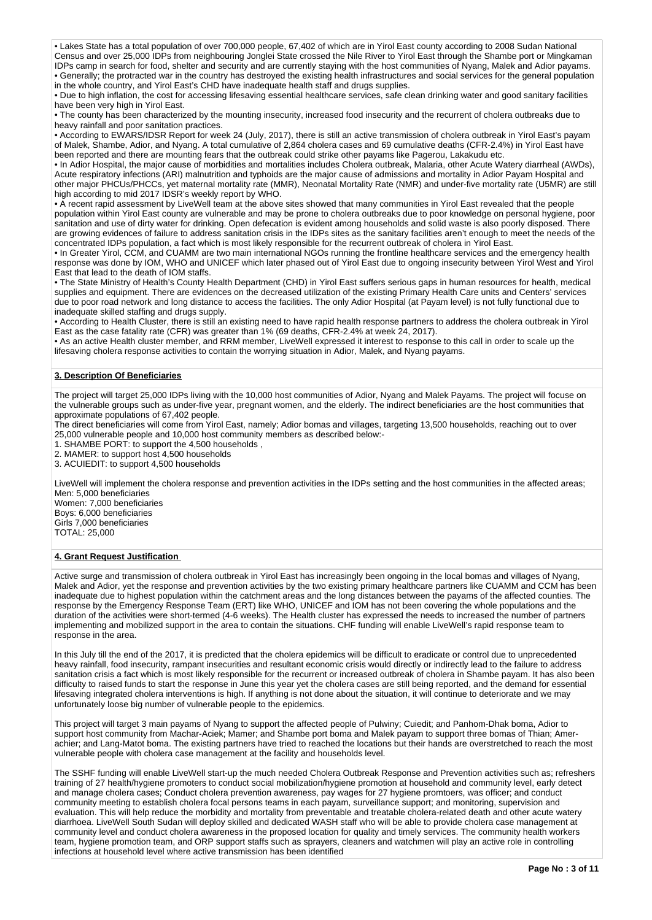• Lakes State has a total population of over 700,000 people, 67,402 of which are in Yirol East county according to 2008 Sudan National Census and over 25,000 IDPs from neighbouring Jonglei State crossed the Nile River to Yirol East through the Shambe port or Mingkaman IDPs camp in search for food, shelter and security and are currently staying with the host communities of Nyang, Malek and Adior payams. • Generally; the protracted war in the country has destroyed the existing health infrastructures and social services for the general population in the whole country, and Yirol East's CHD have inadequate health staff and drugs supplies.

• Due to high inflation, the cost for accessing lifesaving essential healthcare services, safe clean drinking water and good sanitary facilities have been very high in Yirol Fast.

• The county has been characterized by the mounting insecurity, increased food insecurity and the recurrent of cholera outbreaks due to heavy rainfall and poor sanitation practices.

• According to EWARS/IDSR Report for week 24 (July, 2017), there is still an active transmission of cholera outbreak in Yirol East's payam of Malek, Shambe, Adior, and Nyang. A total cumulative of 2,864 cholera cases and 69 cumulative deaths (CFR-2.4%) in Yirol East have been reported and there are mounting fears that the outbreak could strike other payams like Pagerou, Lakakudu etc.

• In Adior Hospital, the major cause of morbidities and mortalities includes Cholera outbreak, Malaria, other Acute Watery diarrheal (AWDs), Acute respiratory infections (ARI) malnutrition and typhoids are the major cause of admissions and mortality in Adior Payam Hospital and other major PHCUs/PHCCs, yet maternal mortality rate (MMR), Neonatal Mortality Rate (NMR) and under-five mortality rate (U5MR) are still high according to mid 2017 IDSR's weekly report by WHO.

• A recent rapid assessment by LiveWell team at the above sites showed that many communities in Yirol East revealed that the people population within Yirol East county are vulnerable and may be prone to cholera outbreaks due to poor knowledge on personal hygiene, poor sanitation and use of dirty water for drinking. Open defecation is evident among households and solid waste is also poorly disposed. There are growing evidences of failure to address sanitation crisis in the IDPs sites as the sanitary facilities aren't enough to meet the needs of the concentrated IDPs population, a fact which is most likely responsible for the recurrent outbreak of cholera in Yirol East.

• In Greater Yirol, CCM, and CUAMM are two main international NGOs running the frontline healthcare services and the emergency health response was done by IOM, WHO and UNICEF which later phased out of Yirol East due to ongoing insecurity between Yirol West and Yirol East that lead to the death of IOM staffs.

• The State Ministry of Health's County Health Department (CHD) in Yirol East suffers serious gaps in human resources for health, medical supplies and equipment. There are evidences on the decreased utilization of the existing Primary Health Care units and Centers' services due to poor road network and long distance to access the facilities. The only Adior Hospital (at Payam level) is not fully functional due to inadequate skilled staffing and drugs supply.

• According to Health Cluster, there is still an existing need to have rapid health response partners to address the cholera outbreak in Yirol East as the case fatality rate (CFR) was greater than 1% (69 deaths, CFR-2.4% at week 24, 2017).

• As an active Health cluster member, and RRM member, LiveWell expressed it interest to response to this call in order to scale up the lifesaving cholera response activities to contain the worrying situation in Adior, Malek, and Nyang payams.

## **3. Description Of Beneficiaries**

The project will target 25,000 IDPs living with the 10,000 host communities of Adior, Nyang and Malek Payams. The project will focuse on the vulnerable groups such as under-five year, pregnant women, and the elderly. The indirect beneficiaries are the host communities that approximate populations of 67,402 people.

The direct beneficiaries will come from Yirol East, namely; Adior bomas and villages, targeting 13,500 households, reaching out to over 25,000 vulnerable people and 10,000 host community members as described below:-

1. SHAMBE PORT: to support the 4,500 households ,

2. MAMER: to support host 4,500 households

3. ACUIEDIT: to support 4,500 households

LiveWell will implement the cholera response and prevention activities in the IDPs setting and the host communities in the affected areas; Men: 5,000 beneficiaries

Women: 7,000 beneficiaries Boys: 6,000 beneficiaries Girls 7,000 beneficiaries TOTAL: 25,000

#### **4. Grant Request Justification**

Active surge and transmission of cholera outbreak in Yirol East has increasingly been ongoing in the local bomas and villages of Nyang, Malek and Adior, yet the response and prevention activities by the two existing primary healthcare partners like CUAMM and CCM has been inadequate due to highest population within the catchment areas and the long distances between the payams of the affected counties. The response by the Emergency Response Team (ERT) like WHO, UNICEF and IOM has not been covering the whole populations and the duration of the activities were short-termed (4-6 weeks). The Health cluster has expressed the needs to increased the number of partners implementing and mobilized support in the area to contain the situations. CHF funding will enable LiveWell's rapid response team to response in the area.

In this July till the end of the 2017, it is predicted that the cholera epidemics will be difficult to eradicate or control due to unprecedented heavy rainfall, food insecurity, rampant insecurities and resultant economic crisis would directly or indirectly lead to the failure to address sanitation crisis a fact which is most likely responsible for the recurrent or increased outbreak of cholera in Shambe payam. It has also been difficulty to raised funds to start the response in June this year yet the cholera cases are still being reported, and the demand for essential lifesaving integrated cholera interventions is high. If anything is not done about the situation, it will continue to deteriorate and we may unfortunately loose big number of vulnerable people to the epidemics.

This project will target 3 main payams of Nyang to support the affected people of Pulwiny; Cuiedit; and Panhom-Dhak boma, Adior to support host community from Machar-Aciek; Mamer; and Shambe port boma and Malek payam to support three bomas of Thian; Amerachier; and Lang-Matot boma. The existing partners have tried to reached the locations but their hands are overstretched to reach the most vulnerable people with cholera case management at the facility and households level.

The SSHF funding will enable LiveWell start-up the much needed Cholera Outbreak Response and Prevention activities such as; refreshers training of 27 health/hygiene promoters to conduct social mobilization/hygiene promotion at household and community level, early detect and manage cholera cases; Conduct cholera prevention awareness, pay wages for 27 hygiene promtoers, was officer; and conduct community meeting to establish cholera focal persons teams in each payam, surveillance support; and monitoring, supervision and evaluation. This will help reduce the morbidity and mortality from preventable and treatable cholera-related death and other acute watery diarrhoea. LiveWell South Sudan will deploy skilled and dedicated WASH staff who will be able to provide cholera case management at community level and conduct cholera awareness in the proposed location for quality and timely services. The community health workers team, hygiene promotion team, and ORP support staffs such as sprayers, cleaners and watchmen will play an active role in controlling infections at household level where active transmission has been identified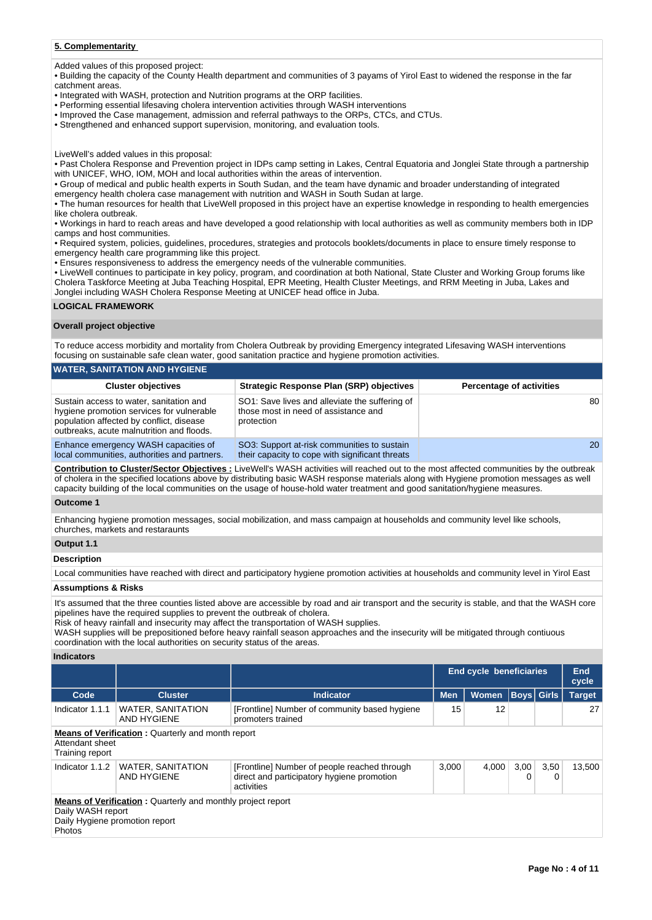# **5. Complementarity**

Added values of this proposed project:

• Building the capacity of the County Health department and communities of 3 payams of Yirol East to widened the response in the far catchment areas.

• Integrated with WASH, protection and Nutrition programs at the ORP facilities.

- Performing essential lifesaving cholera intervention activities through WASH interventions
- Improved the Case management, admission and referral pathways to the ORPs, CTCs, and CTUs.

• Strengthened and enhanced support supervision, monitoring, and evaluation tools.

LiveWell's added values in this proposal:

• Past Cholera Response and Prevention project in IDPs camp setting in Lakes, Central Equatoria and Jonglei State through a partnership with UNICEF, WHO, IOM, MOH and local authorities within the areas of intervention.

• Group of medical and public health experts in South Sudan, and the team have dynamic and broader understanding of integrated emergency health cholera case management with nutrition and WASH in South Sudan at large.

• The human resources for health that LiveWell proposed in this project have an expertise knowledge in responding to health emergencies like cholera outbreak.

• Workings in hard to reach areas and have developed a good relationship with local authorities as well as community members both in IDP camps and host communities.

• Required system, policies, guidelines, procedures, strategies and protocols booklets/documents in place to ensure timely response to emergency health care programming like this project.

• Ensures responsiveness to address the emergency needs of the vulnerable communities.

• LiveWell continues to participate in key policy, program, and coordination at both National, State Cluster and Working Group forums like Cholera Taskforce Meeting at Juba Teaching Hospital, EPR Meeting, Health Cluster Meetings, and RRM Meeting in Juba, Lakes and Jonglei including WASH Cholera Response Meeting at UNICEF head office in Juba.

#### **LOGICAL FRAMEWORK**

## **Overall project objective**

To reduce access morbidity and mortality from Cholera Outbreak by providing Emergency integrated Lifesaving WASH interventions focusing on sustainable safe clean water, good sanitation practice and hygiene promotion activities.

| WATER, SANITATION AND HYGIENE                                                                                                                                                 |                                                                                                      |                                 |
|-------------------------------------------------------------------------------------------------------------------------------------------------------------------------------|------------------------------------------------------------------------------------------------------|---------------------------------|
| <b>Cluster objectives</b>                                                                                                                                                     | <b>Strategic Response Plan (SRP) objectives</b>                                                      | <b>Percentage of activities</b> |
| Sustain access to water, sanitation and<br>hygiene promotion services for vulnerable<br>population affected by conflict, disease<br>outbreaks, acute malnutrition and floods. | SO1: Save lives and alleviate the suffering of<br>those most in need of assistance and<br>protection | 80                              |
| Enhance emergency WASH capacities of<br>local communities, authorities and partners.                                                                                          | SO3: Support at-risk communities to sustain<br>their capacity to cope with significant threats       | 20                              |

**Contribution to Cluster/Sector Objectives :** LiveWell's WASH activities will reached out to the most affected communities by the outbreak of cholera in the specified locations above by distributing basic WASH response materials along with Hygiene promotion messages as well capacity building of the local communities on the usage of house-hold water treatment and good sanitation/hygiene measures.

#### **Outcome 1**

Enhancing hygiene promotion messages, social mobilization, and mass campaign at households and community level like schools, churches, markets and restaraunts

# **Output 1.1**

#### **Description**

Local communities have reached with direct and participatory hygiene promotion activities at households and community level in Yirol East

## **Assumptions & Risks**

It's assumed that the three counties listed above are accessible by road and air transport and the security is stable, and that the WASH core pipelines have the required supplies to prevent the outbreak of cholera.

Risk of heavy rainfall and insecurity may affect the transportation of WASH supplies.

WASH supplies will be prepositioned before heavy rainfall season approaches and the insecurity will be mitigated through contiuous coordination with the local authorities on security status of the areas.

#### **Indicators**

|                                                                      |                                                                    |                                                                                                          | <b>End cycle beneficiaries</b> | <b>End</b><br>cycle |           |             |               |
|----------------------------------------------------------------------|--------------------------------------------------------------------|----------------------------------------------------------------------------------------------------------|--------------------------------|---------------------|-----------|-------------|---------------|
| Code                                                                 | <b>Cluster</b>                                                     | <b>Indicator</b>                                                                                         | <b>Men</b><br><b>Women</b>     |                     |           | Boys  Girls | <b>Target</b> |
| Indicator 1.1.1                                                      | <b>WATER, SANITATION</b><br>AND HYGIENE                            | [Frontline] Number of community based hygiene<br>promoters trained                                       | 15                             | 12                  |           |             | 27            |
| Attendant sheet<br>Training report                                   | <b>Means of Verification:</b> Quarterly and month report           |                                                                                                          |                                |                     |           |             |               |
| Indicator 1.1.2                                                      | <b>WATER, SANITATION</b><br>AND HYGIENE                            | [Frontline] Number of people reached through<br>direct and participatory hygiene promotion<br>activities | 3.000                          | 4.000               | 3,00<br>0 | 3,50<br>0   | 13.500        |
| Daily WASH report<br>Daily Hygiene promotion report<br><b>Photos</b> | <b>Means of Verification:</b> Quarterly and monthly project report |                                                                                                          |                                |                     |           |             |               |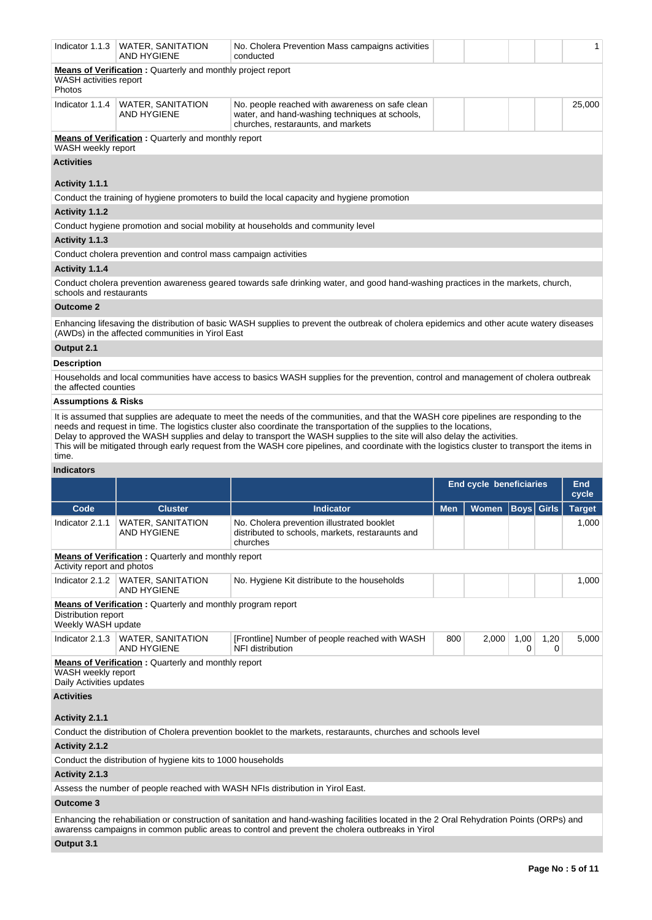| Indicator 1.1.3                                | <b>WATER, SANITATION</b><br><b>AND HYGIENE</b>                     | No. Cholera Prevention Mass campaigns activities<br>conducted                                                                                                                                                                                                                                                                                                                                                                                                                                                                                |            |                                |             |              | $\mathbf{1}$        |
|------------------------------------------------|--------------------------------------------------------------------|----------------------------------------------------------------------------------------------------------------------------------------------------------------------------------------------------------------------------------------------------------------------------------------------------------------------------------------------------------------------------------------------------------------------------------------------------------------------------------------------------------------------------------------------|------------|--------------------------------|-------------|--------------|---------------------|
| WASH activities report<br>Photos               | <b>Means of Verification:</b> Quarterly and monthly project report |                                                                                                                                                                                                                                                                                                                                                                                                                                                                                                                                              |            |                                |             |              |                     |
|                                                | Indicator 1.1.4   WATER, SANITATION<br>AND HYGIENE                 | No. people reached with awareness on safe clean<br>water, and hand-washing techniques at schools,<br>churches, restaraunts, and markets                                                                                                                                                                                                                                                                                                                                                                                                      |            |                                |             |              | 25,000              |
| WASH weekly report                             | <b>Means of Verification:</b> Quarterly and monthly report         |                                                                                                                                                                                                                                                                                                                                                                                                                                                                                                                                              |            |                                |             |              |                     |
| <b>Activities</b>                              |                                                                    |                                                                                                                                                                                                                                                                                                                                                                                                                                                                                                                                              |            |                                |             |              |                     |
| Activity 1.1.1                                 |                                                                    |                                                                                                                                                                                                                                                                                                                                                                                                                                                                                                                                              |            |                                |             |              |                     |
|                                                |                                                                    | Conduct the training of hygiene promoters to build the local capacity and hygiene promotion                                                                                                                                                                                                                                                                                                                                                                                                                                                  |            |                                |             |              |                     |
| Activity 1.1.2                                 |                                                                    |                                                                                                                                                                                                                                                                                                                                                                                                                                                                                                                                              |            |                                |             |              |                     |
|                                                |                                                                    | Conduct hygiene promotion and social mobility at households and community level                                                                                                                                                                                                                                                                                                                                                                                                                                                              |            |                                |             |              |                     |
| Activity 1.1.3                                 |                                                                    |                                                                                                                                                                                                                                                                                                                                                                                                                                                                                                                                              |            |                                |             |              |                     |
|                                                | Conduct cholera prevention and control mass campaign activities    |                                                                                                                                                                                                                                                                                                                                                                                                                                                                                                                                              |            |                                |             |              |                     |
| Activity 1.1.4                                 |                                                                    |                                                                                                                                                                                                                                                                                                                                                                                                                                                                                                                                              |            |                                |             |              |                     |
| schools and restaurants                        |                                                                    | Conduct cholera prevention awareness geared towards safe drinking water, and good hand-washing practices in the markets, church,                                                                                                                                                                                                                                                                                                                                                                                                             |            |                                |             |              |                     |
| <b>Outcome 2</b>                               |                                                                    |                                                                                                                                                                                                                                                                                                                                                                                                                                                                                                                                              |            |                                |             |              |                     |
|                                                | (AWDs) in the affected communities in Yirol East                   | Enhancing lifesaving the distribution of basic WASH supplies to prevent the outbreak of cholera epidemics and other acute watery diseases                                                                                                                                                                                                                                                                                                                                                                                                    |            |                                |             |              |                     |
| Output 2.1                                     |                                                                    |                                                                                                                                                                                                                                                                                                                                                                                                                                                                                                                                              |            |                                |             |              |                     |
| <b>Description</b>                             |                                                                    |                                                                                                                                                                                                                                                                                                                                                                                                                                                                                                                                              |            |                                |             |              |                     |
|                                                |                                                                    |                                                                                                                                                                                                                                                                                                                                                                                                                                                                                                                                              |            |                                |             |              |                     |
| the affected counties                          |                                                                    | Households and local communities have access to basics WASH supplies for the prevention, control and management of cholera outbreak                                                                                                                                                                                                                                                                                                                                                                                                          |            |                                |             |              |                     |
| <b>Assumptions &amp; Risks</b>                 |                                                                    |                                                                                                                                                                                                                                                                                                                                                                                                                                                                                                                                              |            |                                |             |              |                     |
| time.                                          |                                                                    | It is assumed that supplies are adequate to meet the needs of the communities, and that the WASH core pipelines are responding to the<br>needs and request in time. The logistics cluster also coordinate the transportation of the supplies to the locations,<br>Delay to approved the WASH supplies and delay to transport the WASH supplies to the site will also delay the activities.<br>This will be mitigated through early request from the WASH core pipelines, and coordinate with the logistics cluster to transport the items in |            |                                |             |              |                     |
| <b>Indicators</b>                              |                                                                    |                                                                                                                                                                                                                                                                                                                                                                                                                                                                                                                                              |            |                                |             |              |                     |
|                                                |                                                                    |                                                                                                                                                                                                                                                                                                                                                                                                                                                                                                                                              |            | <b>End cycle beneficiaries</b> |             |              | <b>End</b><br>cycle |
| Code                                           | <b>Cluster</b>                                                     | <b>Indicator</b>                                                                                                                                                                                                                                                                                                                                                                                                                                                                                                                             | <b>Men</b> | Women                          | <b>Boys</b> | <b>Girls</b> | <b>Target</b>       |
| Indicator 2.1.1                                | <b>WATER, SANITATION</b><br>AND HYGIENE                            | No. Cholera prevention illustrated booklet<br>distributed to schools, markets, restaraunts and<br>churches                                                                                                                                                                                                                                                                                                                                                                                                                                   |            |                                |             |              | 1,000               |
| Activity report and photos                     | Means of Verification : Quarterly and monthly report               |                                                                                                                                                                                                                                                                                                                                                                                                                                                                                                                                              |            |                                |             |              |                     |
| Indicator 2.1.2                                | WATER, SANITATION<br>AND HYGIENE                                   | No. Hygiene Kit distribute to the households                                                                                                                                                                                                                                                                                                                                                                                                                                                                                                 |            |                                |             |              | 1,000               |
| Distribution report<br>Weekly WASH update      | <b>Means of Verification:</b> Quarterly and monthly program report |                                                                                                                                                                                                                                                                                                                                                                                                                                                                                                                                              |            |                                |             |              |                     |
| Indicator 2.1.3                                | WATER, SANITATION<br>AND HYGIENE                                   | [Frontline] Number of people reached with WASH<br>NFI distribution                                                                                                                                                                                                                                                                                                                                                                                                                                                                           | 800        | 2,000                          | 1,00<br>0   | 1,20<br>0    | 5,000               |
| WASH weekly report<br>Daily Activities updates | <b>Means of Verification:</b> Quarterly and monthly report         |                                                                                                                                                                                                                                                                                                                                                                                                                                                                                                                                              |            |                                |             |              |                     |
| <b>Activities</b>                              |                                                                    |                                                                                                                                                                                                                                                                                                                                                                                                                                                                                                                                              |            |                                |             |              |                     |
| Activity 2.1.1                                 |                                                                    |                                                                                                                                                                                                                                                                                                                                                                                                                                                                                                                                              |            |                                |             |              |                     |
|                                                |                                                                    | Conduct the distribution of Cholera prevention booklet to the markets, restaraunts, churches and schools level                                                                                                                                                                                                                                                                                                                                                                                                                               |            |                                |             |              |                     |

Conduct the distribution of hygiene kits to 1000 households

# **Activity 2.1.3**

Assess the number of people reached with WASH NFIs distribution in Yirol East.

# **Outcome 3**

Enhancing the rehabiliation or construction of sanitation and hand-washing facilities located in the 2 Oral Rehydration Points (ORPs) and awarenss campaigns in common public areas to control and prevent the cholera outbreaks in Yirol

# **Output 3.1**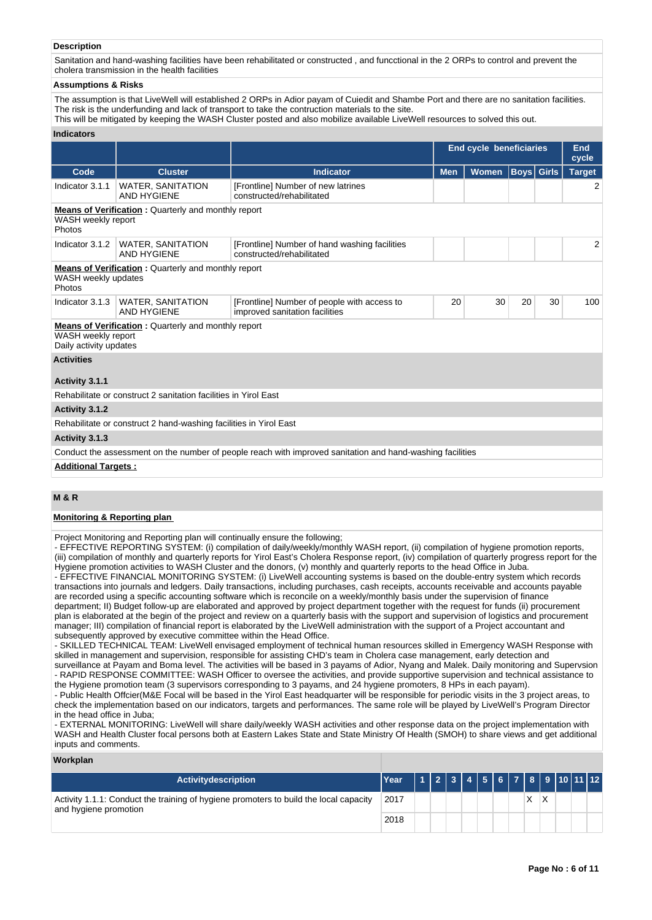## **Description**

Sanitation and hand-washing facilities have been rehabilitated or constructed , and funcctional in the 2 ORPs to control and prevent the cholera transmission in the health facilities

#### **Assumptions & Risks**

The assumption is that LiveWell will established 2 ORPs in Adior payam of Cuiedit and Shambe Port and there are no sanitation facilities. The risk is the underfunding and lack of transport to take the contruction materials to the site.

This will be mitigated by keeping the WASH Cluster posted and also mobilize available LiveWell resources to solved this out.

#### **Indicators**

|                                              |                                                                   |                                                                                                           | <b>End cycle beneficiaries</b> | End<br>cycle |                   |    |                |
|----------------------------------------------|-------------------------------------------------------------------|-----------------------------------------------------------------------------------------------------------|--------------------------------|--------------|-------------------|----|----------------|
| Code                                         | <b>Cluster</b>                                                    | <b>Indicator</b>                                                                                          | <b>Men</b>                     | <b>Women</b> | <b>Boys</b> Girls |    | <b>Target</b>  |
| Indicator 3.1.1                              | <b>WATER, SANITATION</b><br><b>AND HYGIENE</b>                    | [Frontline] Number of new latrines<br>constructed/rehabilitated                                           |                                |              |                   |    | 2              |
| WASH weekly report<br>Photos                 | <b>Means of Verification:</b> Quarterly and monthly report        |                                                                                                           |                                |              |                   |    |                |
| Indicator 3.1.2                              | <b>WATER, SANITATION</b><br>AND HYGIENE                           | [Frontline] Number of hand washing facilities<br>constructed/rehabilitated                                |                                |              |                   |    | $\overline{2}$ |
| WASH weekly updates<br>Photos                | <b>Means of Verification:</b> Quarterly and monthly report        |                                                                                                           |                                |              |                   |    |                |
| Indicator 3.1.3                              | <b>WATER, SANITATION</b><br><b>AND HYGIENE</b>                    | [Frontline] Number of people with access to<br>improved sanitation facilities                             | 20                             | 30           | 20                | 30 | 100            |
| WASH weekly report<br>Daily activity updates | <b>Means of Verification:</b> Quarterly and monthly report        |                                                                                                           |                                |              |                   |    |                |
| <b>Activities</b>                            |                                                                   |                                                                                                           |                                |              |                   |    |                |
| Activity 3.1.1                               |                                                                   |                                                                                                           |                                |              |                   |    |                |
|                                              | Rehabilitate or construct 2 sanitation facilities in Yirol East   |                                                                                                           |                                |              |                   |    |                |
| Activity 3.1.2                               |                                                                   |                                                                                                           |                                |              |                   |    |                |
|                                              | Rehabilitate or construct 2 hand-washing facilities in Yirol East |                                                                                                           |                                |              |                   |    |                |
| Activity 3.1.3                               |                                                                   |                                                                                                           |                                |              |                   |    |                |
|                                              |                                                                   | Conduct the assessment on the number of people reach with improved sanitation and hand-washing facilities |                                |              |                   |    |                |
| <b>Additional Targets:</b>                   |                                                                   |                                                                                                           |                                |              |                   |    |                |

# **M & R**

#### **Monitoring & Reporting plan**

Project Monitoring and Reporting plan will continually ensure the following;

- EFFECTIVE REPORTING SYSTEM: (i) compilation of daily/weekly/monthly WASH report, (ii) compilation of hygiene promotion reports, (iii) compilation of monthly and quarterly reports for Yirol East's Cholera Response report, (iv) compilation of quarterly progress report for the Hygiene promotion activities to WASH Cluster and the donors, (v) monthly and quarterly reports to the head Office in Juba. - EFFECTIVE FINANCIAL MONITORING SYSTEM: (i) LiveWell accounting systems is based on the double-entry system which records transactions into journals and ledgers. Daily transactions, including purchases, cash receipts, accounts receivable and accounts payable are recorded using a specific accounting software which is reconcile on a weekly/monthly basis under the supervision of finance department; II) Budget follow-up are elaborated and approved by project department together with the request for funds (ii) procurement

plan is elaborated at the begin of the project and review on a quarterly basis with the support and supervision of logistics and procurement manager; III) compilation of financial report is elaborated by the LiveWell administration with the support of a Project accountant and subsequently approved by executive committee within the Head Office.

- SKILLED TECHNICAL TEAM: LiveWell envisaged employment of technical human resources skilled in Emergency WASH Response with skilled in management and supervision, responsible for assisting CHD's team in Cholera case management, early detection and surveillance at Payam and Boma level. The activities will be based in 3 payams of Adior, Nyang and Malek. Daily monitoring and Supervsion - RAPID RESPONSE COMMITTEE: WASH Officer to oversee the activities, and provide supportive supervision and technical assistance to the Hygiene promotion team (3 supervisors corresponding to 3 payams, and 24 hygiene promoters, 8 HPs in each payam).

- Public Health Offcier(M&E Focal will be based in the Yirol East headquarter will be responsible for periodic visits in the 3 project areas, to check the implementation based on our indicators, targets and performances. The same role will be played by LiveWell's Program Director in the head office in Juba;

- EXTERNAL MONITORING: LiveWell will share daily/weekly WASH activities and other response data on the project implementation with WASH and Health Cluster focal persons both at Eastern Lakes State and State Ministry Of Health (SMOH) to share views and get additional inputs and comments.

| Workplan |
|----------|
|----------|

| <b>Activitydescription</b>                                                                                     | Year |  |  |  |  |  | 123456789101112 |  |
|----------------------------------------------------------------------------------------------------------------|------|--|--|--|--|--|-----------------|--|
| Activity 1.1.1: Conduct the training of hygiene promoters to build the local capacity<br>and hygiene promotion |      |  |  |  |  |  |                 |  |
|                                                                                                                | 2018 |  |  |  |  |  |                 |  |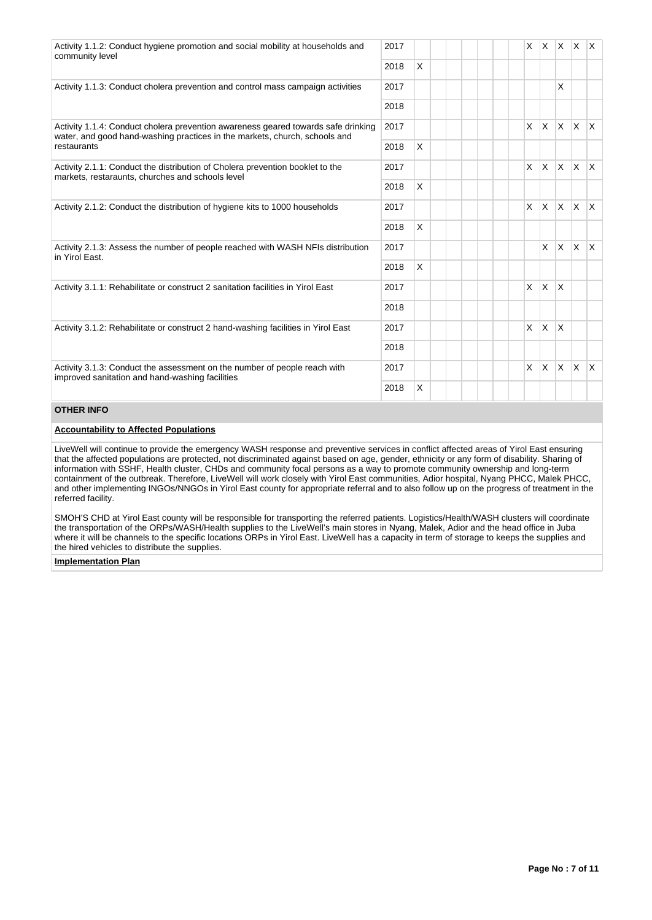| Activity 1.1.2: Conduct hygiene promotion and social mobility at households and<br>community level                                                              | 2017 |   |  |                |                |              | $x \mid x \mid x \mid x \mid x$ |  |
|-----------------------------------------------------------------------------------------------------------------------------------------------------------------|------|---|--|----------------|----------------|--------------|---------------------------------|--|
|                                                                                                                                                                 | 2018 | X |  |                |                |              |                                 |  |
| Activity 1.1.3: Conduct cholera prevention and control mass campaign activities                                                                                 | 2017 |   |  |                |                | X            |                                 |  |
|                                                                                                                                                                 | 2018 |   |  |                |                |              |                                 |  |
| Activity 1.1.4: Conduct cholera prevention awareness geared towards safe drinking<br>water, and good hand-washing practices in the markets, church, schools and | 2017 |   |  |                | $x \mid x$     |              | $x \times x$                    |  |
| restaurants                                                                                                                                                     | 2018 | X |  |                |                |              |                                 |  |
| Activity 2.1.1: Conduct the distribution of Cholera prevention booklet to the<br>markets, restaraunts, churches and schools level                               | 2017 |   |  |                | $x \mid x$     |              | $x \times x$                    |  |
|                                                                                                                                                                 | 2018 | X |  |                |                |              |                                 |  |
| Activity 2.1.2: Conduct the distribution of hygiene kits to 1000 households                                                                                     | 2017 |   |  | $\times$       | lx.            |              | $x \mid x \mid x$               |  |
|                                                                                                                                                                 | 2018 | X |  |                |                |              |                                 |  |
| Activity 2.1.3: Assess the number of people reached with WASH NFIs distribution<br>in Yirol East.                                                               | 2017 |   |  |                | X              | ΙX.          | $\mathsf{X}$ $\mathsf{X}$       |  |
|                                                                                                                                                                 | 2018 | X |  |                |                |              |                                 |  |
| Activity 3.1.1: Rehabilitate or construct 2 sanitation facilities in Yirol East                                                                                 | 2017 |   |  | $\mathsf{X}^-$ | $\mathsf{X}$   | $\mathsf{X}$ |                                 |  |
|                                                                                                                                                                 | 2018 |   |  |                |                |              |                                 |  |
| Activity 3.1.2: Rehabilitate or construct 2 hand-washing facilities in Yirol East                                                                               | 2017 |   |  |                | $x \mathsf{X}$ | $\mathsf{X}$ |                                 |  |
|                                                                                                                                                                 | 2018 |   |  |                |                |              |                                 |  |
| Activity 3.1.3: Conduct the assessment on the number of people reach with<br>improved sanitation and hand-washing facilities                                    | 2017 |   |  |                | $x \mathsf{X}$ |              | $x \times x$                    |  |
|                                                                                                                                                                 | 2018 | X |  |                |                |              |                                 |  |
|                                                                                                                                                                 |      |   |  |                |                |              |                                 |  |

## **OTHER INFO**

# **Accountability to Affected Populations**

LiveWell will continue to provide the emergency WASH response and preventive services in conflict affected areas of Yirol East ensuring that the affected populations are protected, not discriminated against based on age, gender, ethnicity or any form of disability. Sharing of information with SSHF, Health cluster, CHDs and community focal persons as a way to promote community ownership and long-term containment of the outbreak. Therefore, LiveWell will work closely with Yirol East communities, Adior hospital, Nyang PHCC, Malek PHCC, and other implementing INGOs/NNGOs in Yirol East county for appropriate referral and to also follow up on the progress of treatment in the referred facility.

SMOH'S CHD at Yirol East county will be responsible for transporting the referred patients. Logistics/Health/WASH clusters will coordinate the transportation of the ORPs/WASH/Health supplies to the LiveWell's main stores in Nyang, Malek, Adior and the head office in Juba where it will be channels to the specific locations ORPs in Yirol East. LiveWell has a capacity in term of storage to keeps the supplies and the hired vehicles to distribute the supplies.

#### **Implementation Plan**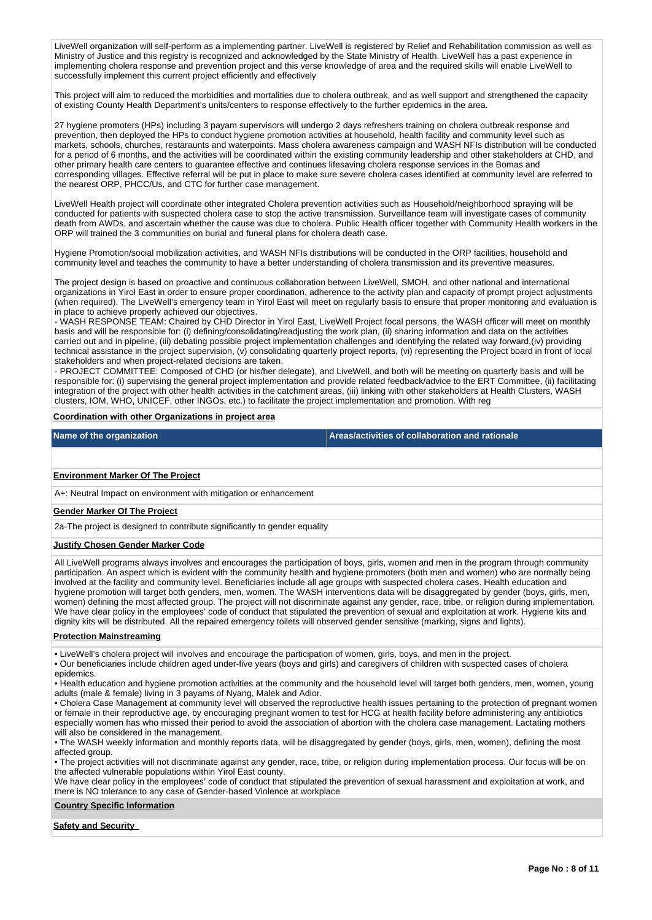LiveWell organization will self-perform as a implementing partner. LiveWell is registered by Relief and Rehabilitation commission as well as Ministry of Justice and this registry is recognized and acknowledged by the State Ministry of Health. LiveWell has a past experience in implementing cholera response and prevention project and this verse knowledge of area and the required skills will enable LiveWell to successfully implement this current project efficiently and effectively

This project will aim to reduced the morbidities and mortalities due to cholera outbreak, and as well support and strengthened the capacity of existing County Health Department's units/centers to response effectively to the further epidemics in the area.

27 hygiene promoters (HPs) including 3 payam supervisors will undergo 2 days refreshers training on cholera outbreak response and prevention, then deployed the HPs to conduct hygiene promotion activities at household, health facility and community level such as markets, schools, churches, restaraunts and waterpoints. Mass cholera awareness campaign and WASH NFIs distribution will be conducted for a period of 6 months, and the activities will be coordinated within the existing community leadership and other stakeholders at CHD, and other primary health care centers to guarantee effective and continues lifesaving cholera response services in the Bomas and corresponding villages. Effective referral will be put in place to make sure severe cholera cases identified at community level are referred to the nearest ORP, PHCC/Us, and CTC for further case management.

LiveWell Health project will coordinate other integrated Cholera prevention activities such as Household/neighborhood spraying will be conducted for patients with suspected cholera case to stop the active transmission. Surveillance team will investigate cases of community death from AWDs, and ascertain whether the cause was due to cholera. Public Health officer together with Community Health workers in the ORP will trained the 3 communities on burial and funeral plans for cholera death case.

Hygiene Promotion/social mobilization activities, and WASH NFIs distributions will be conducted in the ORP facilities, household and community level and teaches the community to have a better understanding of cholera transmission and its preventive measures.

The project design is based on proactive and continuous collaboration between LiveWell, SMOH, and other national and international organizations in Yirol East in order to ensure proper coordination, adherence to the activity plan and capacity of prompt project adjustments (when required). The LiveWell's emergency team in Yirol East will meet on regularly basis to ensure that proper monitoring and evaluation is in place to achieve properly achieved our objectives.

- WASH RESPONSE TEAM: Chaired by CHD Director in Yirol East, LiveWell Project focal persons, the WASH officer will meet on monthly basis and will be responsible for: (i) defining/consolidating/readjusting the work plan, (ii) sharing information and data on the activities carried out and in pipeline, (iii) debating possible project implementation challenges and identifying the related way forward,(iv) providing technical assistance in the project supervision, (v) consolidating quarterly project reports, (vi) representing the Project board in front of local stakeholders and when project-related decisions are taken.

- PROJECT COMMITTEE: Composed of CHD (or his/her delegate), and LiveWell, and both will be meeting on quarterly basis and will be responsible for: (i) supervising the general project implementation and provide related feedback/advice to the ERT Committee, (ii) facilitating integration of the project with other health activities in the catchment areas, (iii) linking with other stakeholders at Health Clusters, WASH clusters, IOM, WHO, UNICEF, other INGOs, etc.) to facilitate the project implementation and promotion. With reg

#### **Coordination with other Organizations in project area**

# **Name of the organization Areas/activities of collaboration and rationale**

#### **Environment Marker Of The Project**

A+: Neutral Impact on environment with mitigation or enhancement

#### **Gender Marker Of The Project**

2a-The project is designed to contribute significantly to gender equality

#### **Justify Chosen Gender Marker Code**

All LiveWell programs always involves and encourages the participation of boys, girls, women and men in the program through community participation. An aspect which is evident with the community health and hygiene promoters (both men and women) who are normally being involved at the facility and community level. Beneficiaries include all age groups with suspected cholera cases. Health education and hygiene promotion will target both genders, men, women. The WASH interventions data will be disaggregated by gender (boys, girls, men, women) defining the most affected group. The project will not discriminate against any gender, race, tribe, or religion during implementation. We have clear policy in the employees' code of conduct that stipulated the prevention of sexual and exploitation at work. Hygiene kits and dignity kits will be distributed. All the repaired emergency toilets will observed gender sensitive (marking, signs and lights).

#### **Protection Mainstreaming**

• LiveWell's cholera project will involves and encourage the participation of women, girls, boys, and men in the project.

• Our beneficiaries include children aged under-five years (boys and girls) and caregivers of children with suspected cases of cholera epidemics.

• Health education and hygiene promotion activities at the community and the household level will target both genders, men, women, young adults (male & female) living in 3 payams of Nyang, Malek and Adior.

• Cholera Case Management at community level will observed the reproductive health issues pertaining to the protection of pregnant women or female in their reproductive age, by encouraging pregnant women to test for HCG at health facility before administering any antibiotics especially women has who missed their period to avoid the association of abortion with the cholera case management. Lactating mothers will also be considered in the management.

• The WASH weekly information and monthly reports data, will be disaggregated by gender (boys, girls, men, women), defining the most affected group.

• The project activities will not discriminate against any gender, race, tribe, or religion during implementation process. Our focus will be on the affected vulnerable populations within Yirol East county.

We have clear policy in the employees' code of conduct that stipulated the prevention of sexual harassment and exploitation at work, and there is NO tolerance to any case of Gender-based Violence at workplace

#### **Country Specific Information**

#### **Safety and Security**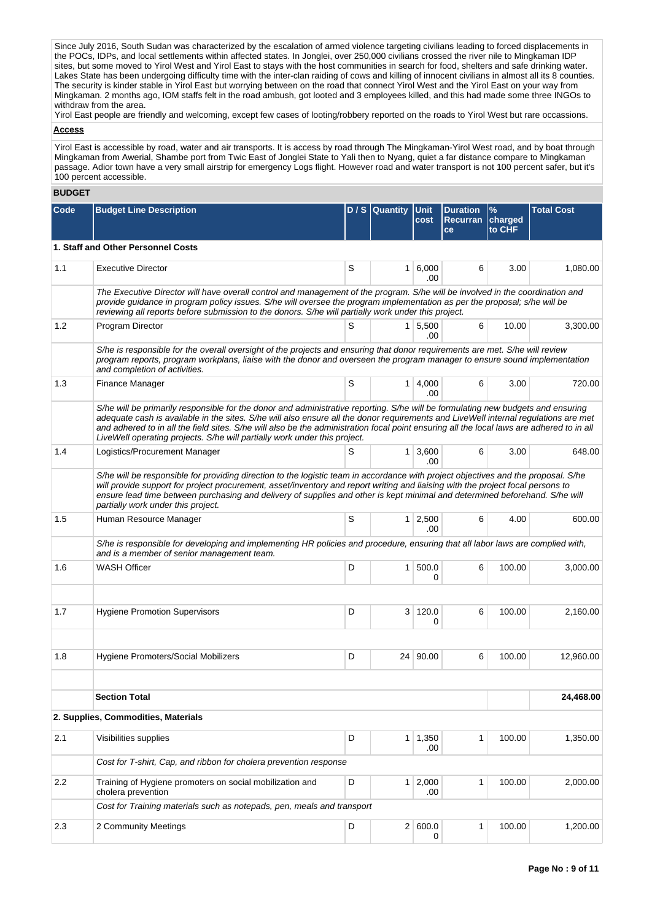Since July 2016, South Sudan was characterized by the escalation of armed violence targeting civilians leading to forced displacements in the POCs, IDPs, and local settlements within affected states. In Jonglei, over 250,000 civilians crossed the river nile to Mingkaman IDP sites, but some moved to Yirol West and Yirol East to stays with the host communities in search for food, shelters and safe drinking water. Lakes State has been undergoing difficulty time with the inter-clan raiding of cows and killing of innocent civilians in almost all its 8 counties. The security is kinder stable in Yirol East but worrying between on the road that connect Yirol West and the Yirol East on your way from Mingkaman. 2 months ago, IOM staffs felt in the road ambush, got looted and 3 employees killed, and this had made some three INGOs to withdraw from the area.

Yirol East people are friendly and welcoming, except few cases of looting/robbery reported on the roads to Yirol West but rare occassions.

# **Access**

Yirol East is accessible by road, water and air transports. It is access by road through The Mingkaman-Yirol West road, and by boat through Mingkaman from Awerial, Shambe port from Twic East of Jonglei State to Yali then to Nyang, quiet a far distance compare to Mingkaman passage. Adior town have a very small airstrip for emergency Logs flight. However road and water transport is not 100 percent safer, but it's 100 percent accessible.

# **BUDGET**

| Code | <b>Budget Line Description</b>                                                                                                                                                                                                                                                                                                                                                                                                                                                                    |   | $D / S$ Quantity | <b>Unit</b><br>cost           | <b>Duration</b><br>Recurran<br>ce | $\frac{9}{6}$<br>charged<br>to CHF | <b>Total Cost</b> |  |  |  |  |
|------|---------------------------------------------------------------------------------------------------------------------------------------------------------------------------------------------------------------------------------------------------------------------------------------------------------------------------------------------------------------------------------------------------------------------------------------------------------------------------------------------------|---|------------------|-------------------------------|-----------------------------------|------------------------------------|-------------------|--|--|--|--|
|      | 1. Staff and Other Personnel Costs                                                                                                                                                                                                                                                                                                                                                                                                                                                                |   |                  |                               |                                   |                                    |                   |  |  |  |  |
| 1.1  | <b>Executive Director</b>                                                                                                                                                                                                                                                                                                                                                                                                                                                                         | S |                  | 1 6,000<br>.00                | 6                                 | 3.00                               | 1,080.00          |  |  |  |  |
|      | The Executive Director will have overall control and management of the program. S/he will be involved in the coordination and<br>provide guidance in program policy issues. S/he will oversee the program implementation as per the proposal; s/he will be<br>reviewing all reports before submission to the donors. S/he will partially work under this project.                                                                                                                                 |   |                  |                               |                                   |                                    |                   |  |  |  |  |
| 1.2  | Program Director                                                                                                                                                                                                                                                                                                                                                                                                                                                                                  | S |                  | $1 \mid 5,500$<br>.00         | 6                                 | 10.00                              | 3,300.00          |  |  |  |  |
|      | S/he is responsible for the overall oversight of the projects and ensuring that donor requirements are met. S/he will review<br>program reports, program workplans, liaise with the donor and overseen the program manager to ensure sound implementation<br>and completion of activities.                                                                                                                                                                                                        |   |                  |                               |                                   |                                    |                   |  |  |  |  |
| 1.3  | Finance Manager                                                                                                                                                                                                                                                                                                                                                                                                                                                                                   | S |                  | $1 \mid 4,000$<br>.00         | 6                                 | 3.00                               | 720.00            |  |  |  |  |
|      | S/he will be primarily responsible for the donor and administrative reporting. S/he will be formulating new budgets and ensuring<br>adequate cash is available in the sites. S/he will also ensure all the donor requirements and LiveWell internal regulations are met<br>and adhered to in all the field sites. S/he will also be the administration focal point ensuring all the local laws are adhered to in all<br>LiveWell operating projects. S/he will partially work under this project. |   |                  |                               |                                   |                                    |                   |  |  |  |  |
| 1.4  | Logistics/Procurement Manager                                                                                                                                                                                                                                                                                                                                                                                                                                                                     | S |                  | $1 \overline{)3,600}$<br>.00. | 6                                 | 3.00                               | 648.00            |  |  |  |  |
|      | S/he will be responsible for providing direction to the logistic team in accordance with project objectives and the proposal. S/he<br>will provide support for project procurement, asset/inventory and report writing and liaising with the project focal persons to<br>ensure lead time between purchasing and delivery of supplies and other is kept minimal and determined beforehand. S/he will<br>partially work under this project.                                                        |   |                  |                               |                                   |                                    |                   |  |  |  |  |
| 1.5  | Human Resource Manager                                                                                                                                                                                                                                                                                                                                                                                                                                                                            | S |                  | $1 \mid 2,500$<br>.00         | 6                                 | 4.00                               | 600.00            |  |  |  |  |
|      | S/he is responsible for developing and implementing HR policies and procedure, ensuring that all labor laws are complied with,<br>and is a member of senior management team.                                                                                                                                                                                                                                                                                                                      |   |                  |                               |                                   |                                    |                   |  |  |  |  |
| 1.6  | <b>WASH Officer</b>                                                                                                                                                                                                                                                                                                                                                                                                                                                                               | D |                  | 1 500.0<br>0                  | 6                                 | 100.00                             | 3,000.00          |  |  |  |  |
|      |                                                                                                                                                                                                                                                                                                                                                                                                                                                                                                   |   |                  |                               |                                   |                                    |                   |  |  |  |  |
| 1.7  | <b>Hygiene Promotion Supervisors</b>                                                                                                                                                                                                                                                                                                                                                                                                                                                              | D | 3                | 120.0<br>0                    | 6                                 | 100.00                             | 2,160.00          |  |  |  |  |
| 1.8  | Hygiene Promoters/Social Mobilizers                                                                                                                                                                                                                                                                                                                                                                                                                                                               | D |                  | 24 90.00                      | 6                                 | 100.00                             | 12,960.00         |  |  |  |  |
|      |                                                                                                                                                                                                                                                                                                                                                                                                                                                                                                   |   |                  |                               |                                   |                                    |                   |  |  |  |  |
|      | <b>Section Total</b>                                                                                                                                                                                                                                                                                                                                                                                                                                                                              |   |                  | 24,468.00                     |                                   |                                    |                   |  |  |  |  |
|      | 2. Supplies, Commodities, Materials                                                                                                                                                                                                                                                                                                                                                                                                                                                               |   |                  |                               |                                   |                                    |                   |  |  |  |  |
| 2.1  | Visibilities supplies                                                                                                                                                                                                                                                                                                                                                                                                                                                                             | D |                  | $1 \mid 1,350$<br>.00         | 1                                 | 100.00                             | 1,350.00          |  |  |  |  |
|      | Cost for T-shirt, Cap, and ribbon for cholera prevention response                                                                                                                                                                                                                                                                                                                                                                                                                                 |   |                  |                               |                                   |                                    |                   |  |  |  |  |
| 2.2  | Training of Hygiene promoters on social mobilization and<br>cholera prevention                                                                                                                                                                                                                                                                                                                                                                                                                    | D | 1 <sup>1</sup>   | 2,000<br>.00                  | 1                                 | 100.00                             | 2,000.00          |  |  |  |  |
|      | Cost for Training materials such as notepads, pen, meals and transport                                                                                                                                                                                                                                                                                                                                                                                                                            |   |                  |                               |                                   |                                    |                   |  |  |  |  |
| 2.3  | 2 Community Meetings                                                                                                                                                                                                                                                                                                                                                                                                                                                                              | D |                  | 2 600.0<br>0                  | 1                                 | 100.00                             | 1,200.00          |  |  |  |  |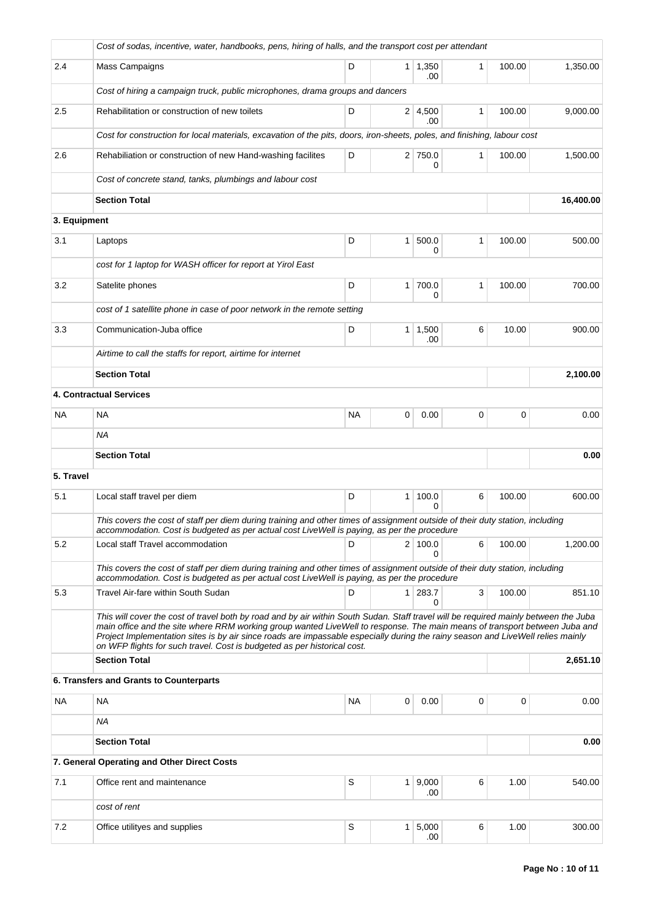|              | Cost of sodas, incentive, water, handbooks, pens, hiring of halls, and the transport cost per attendant                                                                                                                                                                                                                                                                                                                                                                           |           |                |                       |              |        |           |  |  |  |  |
|--------------|-----------------------------------------------------------------------------------------------------------------------------------------------------------------------------------------------------------------------------------------------------------------------------------------------------------------------------------------------------------------------------------------------------------------------------------------------------------------------------------|-----------|----------------|-----------------------|--------------|--------|-----------|--|--|--|--|
| 2.4          | Mass Campaigns                                                                                                                                                                                                                                                                                                                                                                                                                                                                    | D         | $\mathbf{1}$   | 1,350<br>.00          | $\mathbf{1}$ | 100.00 | 1,350.00  |  |  |  |  |
|              | Cost of hiring a campaign truck, public microphones, drama groups and dancers                                                                                                                                                                                                                                                                                                                                                                                                     |           |                |                       |              |        |           |  |  |  |  |
| 2.5          | Rehabilitation or construction of new toilets                                                                                                                                                                                                                                                                                                                                                                                                                                     | D         |                | $2 \mid 4,500$<br>.00 | $\mathbf{1}$ | 100.00 | 9,000.00  |  |  |  |  |
|              | Cost for construction for local materials, excavation of the pits, doors, iron-sheets, poles, and finishing, labour cost                                                                                                                                                                                                                                                                                                                                                          |           |                |                       |              |        |           |  |  |  |  |
| 2.6          | Rehabiliation or construction of new Hand-washing facilites                                                                                                                                                                                                                                                                                                                                                                                                                       | D         |                | 2 750.0<br>0          | 1            | 100.00 | 1,500.00  |  |  |  |  |
|              | Cost of concrete stand, tanks, plumbings and labour cost                                                                                                                                                                                                                                                                                                                                                                                                                          |           |                |                       |              |        |           |  |  |  |  |
|              | <b>Section Total</b>                                                                                                                                                                                                                                                                                                                                                                                                                                                              |           |                |                       |              |        | 16,400.00 |  |  |  |  |
| 3. Equipment |                                                                                                                                                                                                                                                                                                                                                                                                                                                                                   |           |                |                       |              |        |           |  |  |  |  |
| 3.1          | Laptops                                                                                                                                                                                                                                                                                                                                                                                                                                                                           | D         | $\mathbf{1}$   | 500.0<br>0            | 1            | 100.00 | 500.00    |  |  |  |  |
|              | cost for 1 laptop for WASH officer for report at Yirol East                                                                                                                                                                                                                                                                                                                                                                                                                       |           |                |                       |              |        |           |  |  |  |  |
| 3.2          | Satelite phones                                                                                                                                                                                                                                                                                                                                                                                                                                                                   | D         | 1              | 700.0<br>0            | 1            | 100.00 | 700.00    |  |  |  |  |
|              | cost of 1 satellite phone in case of poor network in the remote setting                                                                                                                                                                                                                                                                                                                                                                                                           |           |                |                       |              |        |           |  |  |  |  |
| 3.3          | Communication-Juba office                                                                                                                                                                                                                                                                                                                                                                                                                                                         | D         | 1 <sup>1</sup> | 1,500<br>.00          | 6            | 10.00  | 900.00    |  |  |  |  |
|              | Airtime to call the staffs for report, airtime for internet                                                                                                                                                                                                                                                                                                                                                                                                                       |           |                |                       |              |        |           |  |  |  |  |
|              | <b>Section Total</b>                                                                                                                                                                                                                                                                                                                                                                                                                                                              |           |                | 2,100.00              |              |        |           |  |  |  |  |
|              | 4. Contractual Services                                                                                                                                                                                                                                                                                                                                                                                                                                                           |           |                |                       |              |        |           |  |  |  |  |
| NA           | NA                                                                                                                                                                                                                                                                                                                                                                                                                                                                                | <b>NA</b> | 0              | 0.00                  | 0            | 0      | 0.00      |  |  |  |  |
|              | <b>NA</b>                                                                                                                                                                                                                                                                                                                                                                                                                                                                         |           |                |                       |              |        |           |  |  |  |  |
|              | <b>Section Total</b>                                                                                                                                                                                                                                                                                                                                                                                                                                                              |           |                | 0.00                  |              |        |           |  |  |  |  |
| 5. Travel    |                                                                                                                                                                                                                                                                                                                                                                                                                                                                                   |           |                |                       |              |        |           |  |  |  |  |
| 5.1          | Local staff travel per diem                                                                                                                                                                                                                                                                                                                                                                                                                                                       | D         | 1              | 100.0<br>$\Omega$     | 6            | 100.00 | 600.00    |  |  |  |  |
|              | This covers the cost of staff per diem during training and other times of assignment outside of their duty station, including<br>accommodation. Cost is budgeted as per actual cost LiveWell is paying, as per the procedure                                                                                                                                                                                                                                                      |           |                |                       |              |        |           |  |  |  |  |
| 5.2          | Local staff Travel accommodation                                                                                                                                                                                                                                                                                                                                                                                                                                                  | D         |                | 2 100.0<br>0          | 6            | 100.00 | 1,200.00  |  |  |  |  |
|              | This covers the cost of staff per diem during training and other times of assignment outside of their duty station, including<br>accommodation. Cost is budgeted as per actual cost LiveWell is paying, as per the procedure                                                                                                                                                                                                                                                      |           |                |                       |              |        |           |  |  |  |  |
| 5.3          | Travel Air-fare within South Sudan                                                                                                                                                                                                                                                                                                                                                                                                                                                | D         | 1 <sup>1</sup> | 283.7<br>0            | 3            | 100.00 | 851.10    |  |  |  |  |
|              | This will cover the cost of travel both by road and by air within South Sudan. Staff travel will be required mainly between the Juba<br>main office and the site where RRM working group wanted LiveWell to response. The main means of transport between Juba and<br>Project Implementation sites is by air since roads are impassable especially during the rainy season and LiveWell relies mainly<br>on WFP flights for such travel. Cost is budgeted as per historical cost. |           |                |                       |              |        |           |  |  |  |  |
|              | <b>Section Total</b>                                                                                                                                                                                                                                                                                                                                                                                                                                                              |           |                | 2,651.10              |              |        |           |  |  |  |  |
|              | 6. Transfers and Grants to Counterparts                                                                                                                                                                                                                                                                                                                                                                                                                                           |           |                |                       |              |        |           |  |  |  |  |
| NA           | NA                                                                                                                                                                                                                                                                                                                                                                                                                                                                                | <b>NA</b> | 0              | 0.00                  | 0            | 0      | 0.00      |  |  |  |  |
|              | ΝA                                                                                                                                                                                                                                                                                                                                                                                                                                                                                |           |                |                       |              |        |           |  |  |  |  |
|              | <b>Section Total</b>                                                                                                                                                                                                                                                                                                                                                                                                                                                              |           |                | 0.00                  |              |        |           |  |  |  |  |
|              | 7. General Operating and Other Direct Costs                                                                                                                                                                                                                                                                                                                                                                                                                                       |           |                |                       |              |        |           |  |  |  |  |
| 7.1          | Office rent and maintenance                                                                                                                                                                                                                                                                                                                                                                                                                                                       | S         | 1 <sup>1</sup> | 9,000<br>.00          | 6            | 1.00   | 540.00    |  |  |  |  |
|              | cost of rent                                                                                                                                                                                                                                                                                                                                                                                                                                                                      |           |                |                       |              |        |           |  |  |  |  |
| 7.2          | Office utilityes and supplies                                                                                                                                                                                                                                                                                                                                                                                                                                                     | S         | $\mathbf{1}$   | 5,000<br>.00          | 6            | 1.00   | 300.00    |  |  |  |  |